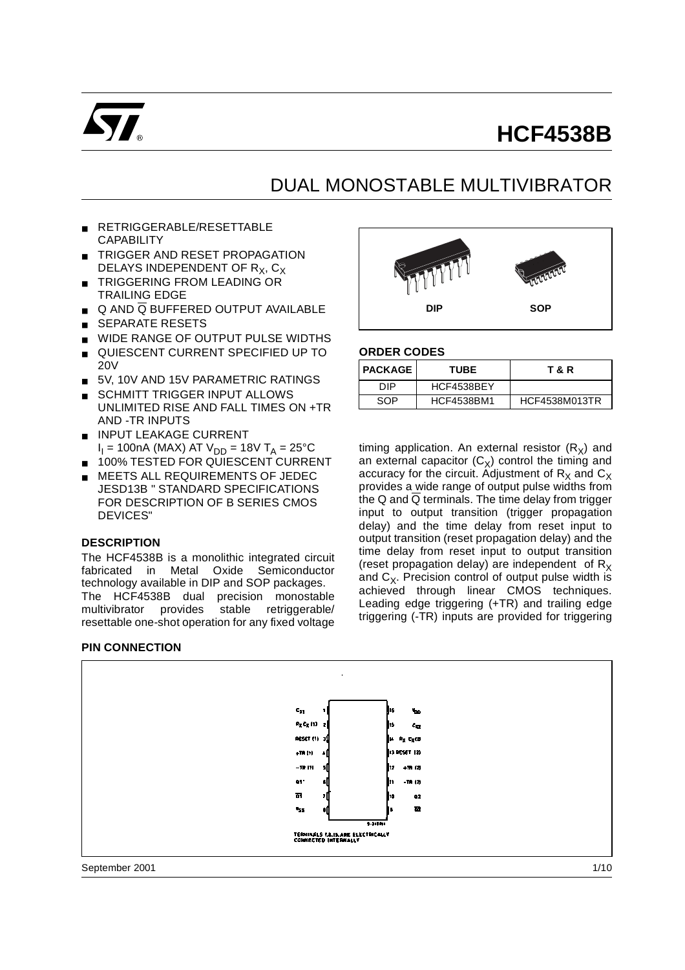

# **HCF4538B**

## DUAL MONOSTABLE MULTIVIBRATOR

- RETRIGGERABLE/RESETTABLE **CAPABILITY**
- **TRIGGER AND RESET PROPAGATION** DELAYS INDEPENDENT OF  $R_X, C_X$
- TRIGGERING FROM LEADING OR TRAILING EDGE
- $\Box$  Q AND Q BUFFERED OUTPUT AVAILABLE
- SEPARATE RESETS
- WIDE RANGE OF OUTPUT PULSE WIDTHS
- QUIESCENT CURRENT SPECIFIED UP TO 20V
- 5V, 10V AND 15V PARAMETRIC RATINGS
- SCHMITT TRIGGER INPUT ALLOWS UNLIMITED RISE AND FALL TIMES ON +TR AND -TR INPUTS
- INPUT LEAKAGE CURRENT  $I<sub>I</sub>$  = 100nA (MAX) AT V<sub>DD</sub> = 18V T<sub>A</sub> = 25°C
- 100% TESTED FOR QUIESCENT CURRENT
- MEETS ALL REQUIREMENTS OF JEDEC JESD13B " STANDARD SPECIFICATIONS FOR DESCRIPTION OF B SERIES CMOS DEVICES"

#### **DESCRIPTION**

The HCF4538B is a monolithic integrated circuit fabricated in Metal Oxide Semiconductor technology available in DIP and SOP packages. The HCF4538B dual precision monostable multivibrator provides stable retriggerable/ resettable one-shot operation for any fixed voltage

#### **PIN CONNECTION**



#### **ORDER CODES**

| <b>I PACKAGE</b> | <b>TUBE</b>       | T & R         |
|------------------|-------------------|---------------|
| חוח              | HCF4538BEY        |               |
| SOP              | <b>HCF4538BM1</b> | HCF4538M013TR |

timing application. An external resistor  $(R_x)$  and an external capacitor  $(C_x)$  control the timing and accuracy for the circuit. Adjustment of  $R<sub>x</sub>$  and  $C<sub>x</sub>$ provides a wide range of output pulse widths from the Q and  $\overline{Q}$  terminals. The time delay from trigger input to output transition (trigger propagation delay) and the time delay from reset input to output transition (reset propagation delay) and the time delay from reset input to output transition (reset propagation delay) are independent of  $R_X$ and  $C_X$ . Precision control of output pulse width is achieved through linear CMOS techniques. Leading edge triggering (+TR) and trailing edge triggering (-TR) inputs are provided for triggering

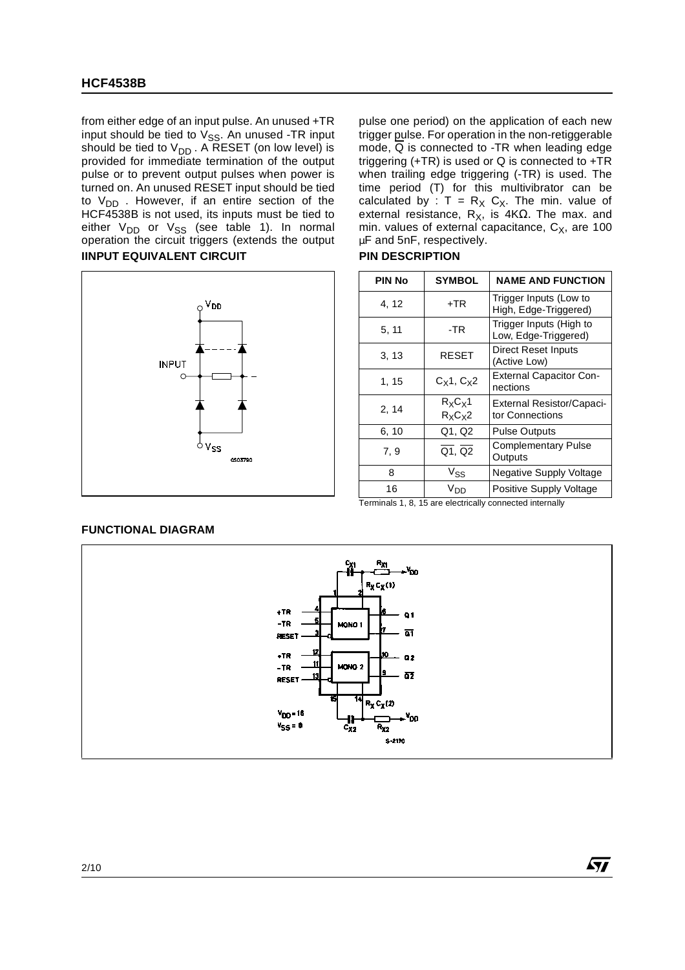from either edge of an input pulse. An unused +TR input should be tied to  $V_{SS}$ . An unused -TR input should be tied to  $V_{DD}$ . A RESET (on low level) is provided for immediate termination of the output pulse or to prevent output pulses when power is turned on. An unused RESET input should be tied to  $V_{DD}$  . However, if an entire section of the HCF4538B is not used, its inputs must be tied to either V<sub>DD</sub> or V<sub>SS</sub> (see table 1). In normal operation the circuit triggers (extends the output **IINPUT EQUIVALENT CIRCUIT PIN DESCRIPTION** 



pulse one period) on the application of each new trigger pulse. For operation in the non-retiggerable mode,  $\overline{Q}$  is connected to -TR when leading edge triggering (+TR) is used or Q is connected to +TR when trailing edge triggering (-TR) is used. The time period (T) for this multivibrator can be calculated by :  $T = R_X C_X$ . The min. value of external resistance,  $\overrightarrow{R_X}$ , is 4KΩ. The max. and min. values of external capacitance,  $C_x$ , are 100 µF and 5nF, respectively.

| <b>PIN No</b> | <b>SYMBOL</b>                | <b>NAME AND FUNCTION</b>                        |
|---------------|------------------------------|-------------------------------------------------|
| 4, 12         | $+TR$                        | Trigger Inputs (Low to<br>High, Edge-Triggered) |
| 5, 11         | -TR                          | Trigger Inputs (High to<br>Low, Edge-Triggered) |
| 3.13          | <b>RESET</b>                 | Direct Reset Inputs<br>(Active Low)             |
| 1, 15         | $C_X1, C_X2$                 | <b>External Capacitor Con-</b><br>nections      |
| 2, 14         | $R_X C_X 1$<br>$R_{X}C_{X}2$ | External Resistor/Capaci-<br>tor Connections    |
| 6, 10         | Q1, Q2                       | <b>Pulse Outputs</b>                            |
| 7, 9          | Q1, Q2                       | <b>Complementary Pulse</b><br>Outputs           |
| 8             | $\mathrm{V}_{\mathrm{SS}}$   | Negative Supply Voltage                         |
| 16            | Vnn                          | Positive Supply Voltage                         |

Terminals 1, 8, 15 are electrically connected internally

**AV** 

#### **FUNCTIONAL DIAGRAM**

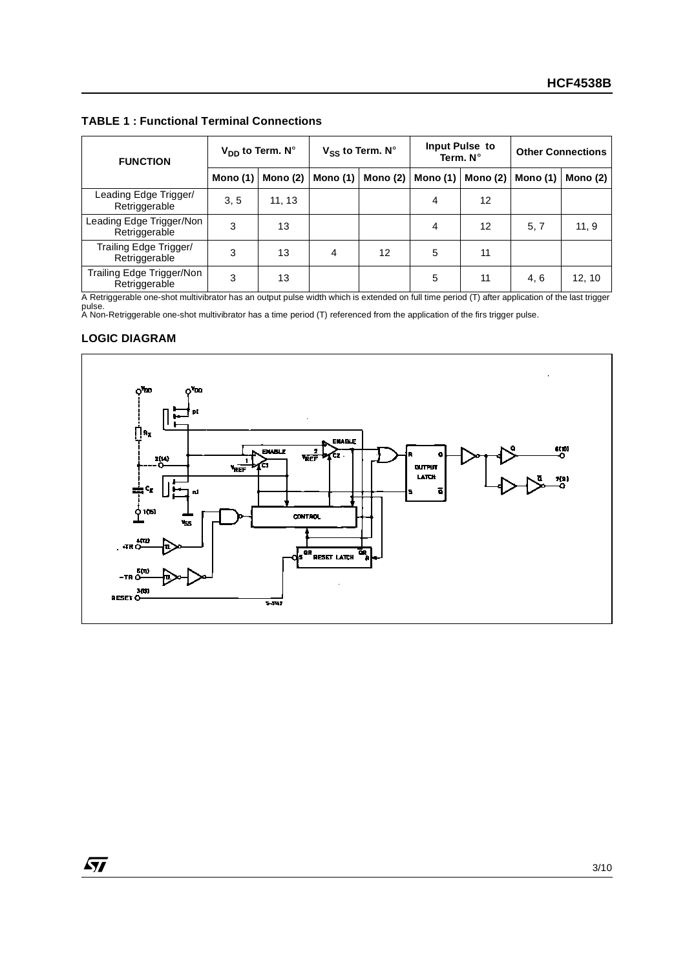**TABLE 1 : Functional Terminal Connections** 

| <b>FUNCTION</b>                            | $V_{DD}$ to Term. N° |            | $V_{SS}$ to Term. N° |            |          | Input Pulse to<br>Term. $N^{\circ}$ | <b>Other Connections</b> |            |  |
|--------------------------------------------|----------------------|------------|----------------------|------------|----------|-------------------------------------|--------------------------|------------|--|
|                                            | <b>Mono (1)</b>      | Mono $(2)$ | Mono (1)             | Mono $(2)$ | Mono (1) | Mono $(2)$                          | Mono $(1)$               | Mono $(2)$ |  |
| Leading Edge Trigger/<br>Retriggerable     | 3, 5                 | 11, 13     |                      |            | 4        | 12                                  |                          |            |  |
| Leading Edge Trigger/Non<br>Retriggerable  | 3                    | 13         |                      |            | 4        | 12                                  | 5, 7                     | 11, 9      |  |
| Trailing Edge Trigger/<br>Retriggerable    | 3                    | 13         | 4                    | 12         | 5        | 11                                  |                          |            |  |
| Trailing Edge Trigger/Non<br>Retriggerable | 3                    | 13         |                      |            | 5        | 11                                  | 4, 6                     | 12, 10     |  |

A Retriggerable one-shot multivibrator has an output pulse width which is extended on full time period (T) after application of the last trigger pulse. A Non-Retriggerable one-shot multivibrator has a time period (T) referenced from the application of the firs trigger pulse.

#### **LOGIC DIAGRAM**

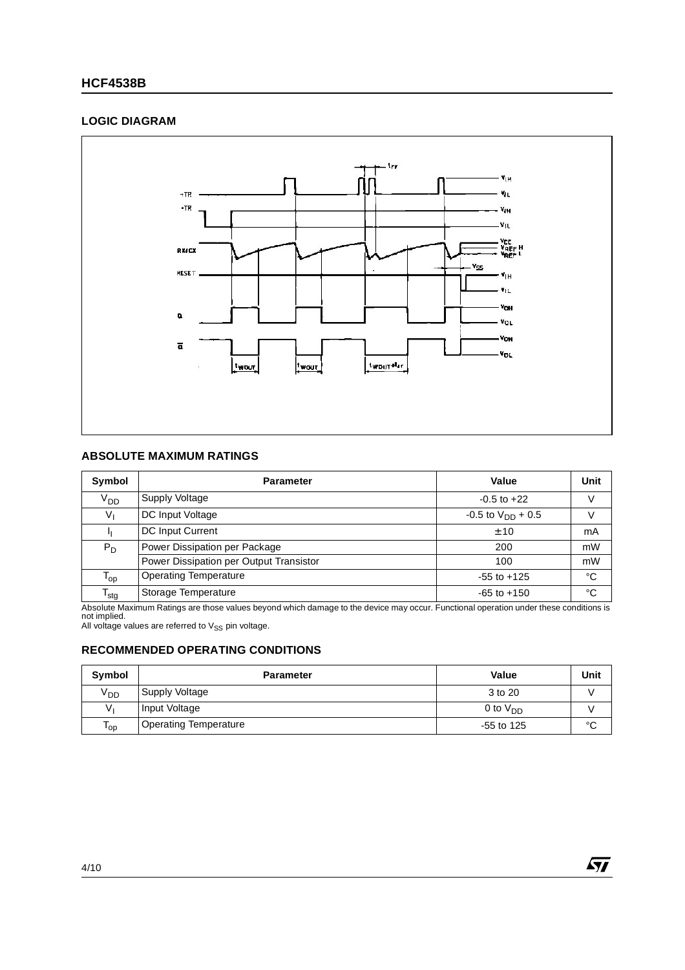#### **HCF4538B**

#### **LOGIC DIAGRAM**



#### **ABSOLUTE MAXIMUM RATINGS**

| <b>Symbol</b>     | <b>Parameter</b>                        | Value                    | <b>Unit</b> |
|-------------------|-----------------------------------------|--------------------------|-------------|
| V <sub>DD</sub>   | Supply Voltage                          | $-0.5$ to $+22$          | V           |
| V,                | <b>DC Input Voltage</b>                 | $-0.5$ to $V_{DD}$ + 0.5 | V           |
|                   | DC Input Current                        | ± 10                     | mA          |
| $P_D$             | Power Dissipation per Package           | 200                      | mW          |
|                   | Power Dissipation per Output Transistor | 100                      | mW          |
| $\mathsf{T_{op}}$ | <b>Operating Temperature</b>            | $-55$ to $+125$          | °C          |
| $T_{\text{stg}}$  | Storage Temperature                     | $-65$ to $+150$          | $^{\circ}C$ |

Absolute Maximum Ratings are those values beyond which damage to the device may occur. Functional operation under these conditions is<br>not implied.<br>All voltage values are referred to V<sub>SS</sub> pin voltage.

#### **RECOMMENDED OPERATING CONDITIONS**

| Symbol   | <b>Parameter</b>             | Value         | Unit        |
|----------|------------------------------|---------------|-------------|
| $V_{DD}$ | Supply Voltage               | 3 to 20       |             |
| v.       | Input Voltage                | 0 to $V_{DD}$ |             |
| ' op     | <b>Operating Temperature</b> | $-55$ to 125  | $\sim$<br>◡ |

 $\sqrt{27}$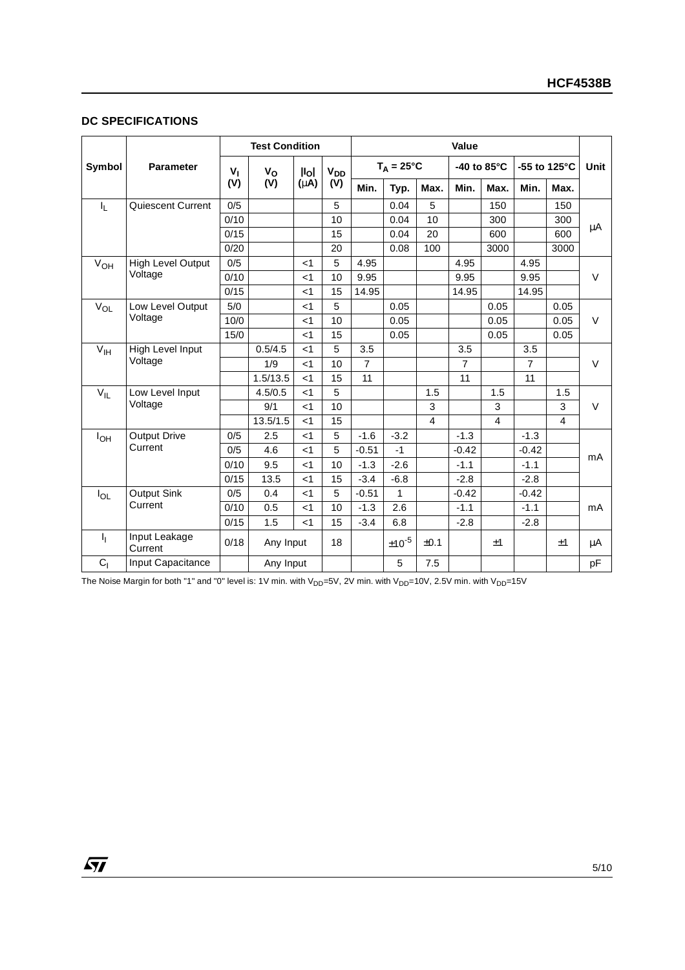#### **DC SPECIFICATIONS**

|                  |                          | <b>Test Condition</b> |             |                                                                         |      | Value          |                     |      |                |                |                |                |         |
|------------------|--------------------------|-----------------------|-------------|-------------------------------------------------------------------------|------|----------------|---------------------|------|----------------|----------------|----------------|----------------|---------|
| Symbol           | <b>Parameter</b>         | v,                    | $V_{\rm O}$ | <b>V<sub>DD</sub></b><br>$\mathsf{II}_{\mathsf{O}}$<br>$(\mu A)$<br>(V) |      |                | $T_A = 25^{\circ}C$ |      |                | -40 to 85°C    | -55 to 125°C   |                | Unit    |
|                  |                          | (V)                   | (V)         |                                                                         | Min. | Typ.           | Max.                | Min. | Max.           | Min.           | Max.           |                |         |
| $I_{\mathsf{L}}$ | Quiescent Current        | 0/5                   |             |                                                                         | 5    |                | 0.04                | 5    |                | 150            |                | 150            |         |
|                  |                          | 0/10                  |             |                                                                         | 10   |                | 0.04                | 10   |                | 300            |                | 300            | $\mu$ A |
|                  |                          | 0/15                  |             |                                                                         | 15   |                | 0.04                | 20   |                | 600            |                | 600            |         |
|                  |                          | 0/20                  |             |                                                                         | 20   |                | 0.08                | 100  |                | 3000           |                | 3000           |         |
| $V_{OH}$         | <b>High Level Output</b> | 0/5                   |             | $<$ 1                                                                   | 5    | 4.95           |                     |      | 4.95           |                | 4.95           |                |         |
|                  | Voltage                  | 0/10                  |             | $<$ 1                                                                   | 10   | 9.95           |                     |      | 9.95           |                | 9.95           |                | $\vee$  |
|                  |                          | 0/15                  |             | $<$ 1                                                                   | 15   | 14.95          |                     |      | 14.95          |                | 14.95          |                |         |
| $V_{OL}$         | Low Level Output         | 5/0                   |             | $<$ 1                                                                   | 5    |                | 0.05                |      |                | 0.05           |                | 0.05           |         |
|                  | Voltage                  | 10/0                  |             | $<$ 1                                                                   | 10   |                | 0.05                |      |                | 0.05           |                | 0.05           | $\vee$  |
|                  | 15/0                     |                       | $<$ 1       | 15                                                                      |      | 0.05           |                     |      | 0.05           |                | 0.05           |                |         |
| $V_{\text{IH}}$  | High Level Input         |                       | 0.5/4.5     | $<$ 1                                                                   | 5    | 3.5            |                     |      | 3.5            |                | 3.5            |                |         |
|                  | Voltage                  |                       | 1/9         | $<$ 1                                                                   | 10   | $\overline{7}$ |                     |      | $\overline{7}$ |                | $\overline{7}$ |                | $\vee$  |
|                  |                          |                       | 1.5/13.5    | $<$ 1                                                                   | 15   | 11             |                     |      | 11             |                | 11             |                |         |
| $V_{IL}$         | Low Level Input          |                       | 4.5/0.5     | $<$ 1                                                                   | 5    |                |                     | 1.5  |                | 1.5            |                | 1.5            |         |
|                  | Voltage                  |                       | 9/1         | $<$ 1                                                                   | 10   |                |                     | 3    |                | 3              |                | 3              | $\vee$  |
|                  |                          |                       | 13.5/1.5    | $<$ 1                                                                   | 15   |                |                     | 4    |                | $\overline{4}$ |                | $\overline{4}$ |         |
| $I_{OH}$         | <b>Output Drive</b>      | 0/5                   | 2.5         | $<$ 1                                                                   | 5    | $-1.6$         | $-3.2$              |      | $-1.3$         |                | $-1.3$         |                |         |
|                  | Current                  | 0/5                   | 4.6         | $<$ 1                                                                   | 5    | $-0.51$        | $-1$                |      | $-0.42$        |                | $-0.42$        |                |         |
|                  |                          | 0/10                  | 9.5         | $<$ 1                                                                   | 10   | $-1.3$         | $-2.6$              |      | $-1.1$         |                | $-1.1$         |                | mA      |
|                  |                          | 0/15                  | 13.5        | $<$ 1                                                                   | 15   | $-3.4$         | $-6.8$              |      | $-2.8$         |                | $-2.8$         |                |         |
| $I_{OL}$         | Output Sink              | 0/5                   | 0.4         | $<$ 1                                                                   | 5    | $-0.51$        | 1                   |      | $-0.42$        |                | $-0.42$        |                |         |
|                  | Current                  | 0/10                  | 0.5         | $<$ 1                                                                   | 10   | $-1.3$         | 2.6                 |      | $-1.1$         |                | $-1.1$         |                | mA      |
|                  |                          | 0/15                  | 1.5         | $<$ 1                                                                   | 15   | $-3.4$         | 6.8                 |      | $-2.8$         |                | $-2.8$         |                |         |
| Т,               | Input Leakage<br>Current | 0/18                  | Any Input   |                                                                         | 18   |                | $±10^{-5}$          | ±0.1 |                | ±1             |                | ±1             | μA      |
| C <sub>1</sub>   | Input Capacitance        |                       | Any Input   |                                                                         |      |                | 5                   | 7.5  |                |                |                |                | pF      |

The Noise Margin for both "1" and "0" level is: 1V min. with  $V_{DD}$ =5V, 2V min. with V<sub>DD</sub>=10V, 2.5V min. with V<sub>DD</sub>=15V

 $\sqrt{M}$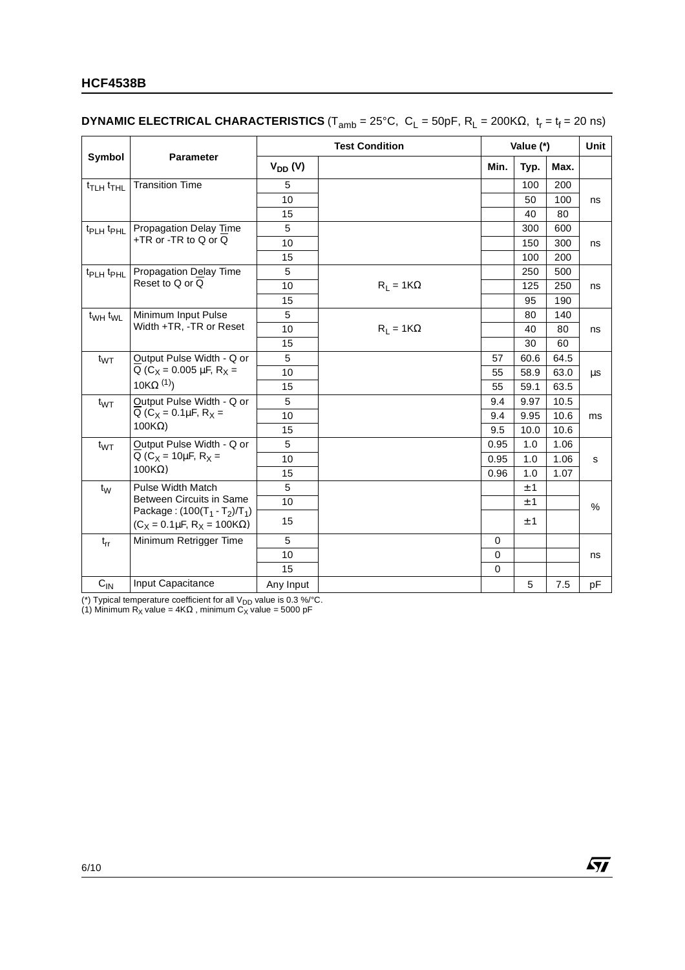#### **HCF4538B**

#### **DYNAMIC ELECTRICAL CHARACTERISTICS** (T<sub>amb</sub> = 25°C, C<sub>L</sub> = 50pF, R<sub>L</sub> = 200KΩ, t<sub>r</sub> = t<sub>f</sub> = 20 ns)

|                                   |                                                                           | <b>Test Condition</b> |                  |           | Value (*) |      |      |  |
|-----------------------------------|---------------------------------------------------------------------------|-----------------------|------------------|-----------|-----------|------|------|--|
| Symbol<br><b>Parameter</b>        |                                                                           | $V_{DD} (V)$          |                  | Min.      | Typ.      | Max. |      |  |
| t <sub>TLH</sub> t <sub>THL</sub> | <b>Transition Time</b>                                                    | 5                     |                  |           | 100       | 200  |      |  |
|                                   |                                                                           | 10                    |                  |           | 50        | 100  | ns   |  |
|                                   |                                                                           | 15                    |                  |           | 40        | 80   |      |  |
| t <sub>PLH</sub> t <sub>PHL</sub> | Propagation Delay Time                                                    | 5                     |                  |           | 300       | 600  |      |  |
|                                   | +TR or -TR to Q or Q                                                      | 10                    |                  |           | 150       | 300  | ns   |  |
|                                   |                                                                           | 15                    |                  |           | 100       | 200  |      |  |
| t <sub>PLH</sub> t <sub>PHL</sub> | Propagation Delay Time                                                    | 5                     |                  |           | 250       | 500  |      |  |
|                                   | Reset to Q or Q                                                           | 10                    | $R_L = 1K\Omega$ |           | 125       | 250  | ns   |  |
|                                   |                                                                           | 15                    |                  |           | 95        | 190  |      |  |
| $t_{WH}$ $t_{WL}$                 | Minimum Input Pulse                                                       | 5                     |                  |           | 80        | 140  |      |  |
|                                   | Width +TR, -TR or Reset                                                   | 10                    | $R_L = 1K\Omega$ |           | 40        | 80   | ns   |  |
|                                   |                                                                           | 15                    |                  |           | 30        | 60   |      |  |
| $t_{WT}$                          | Output Pulse Width - Q or                                                 | 5                     |                  | 57        | 60.6      | 64.5 |      |  |
|                                   | Q ( $C_X$ = 0.005 µF, R <sub>X</sub> =                                    | 10                    |                  | 55        | 58.9      | 63.0 | μs   |  |
|                                   | 10KΩ $(1)$                                                                | 15                    |                  | 55        | 59.1      | 63.5 |      |  |
| $t_{WT}$                          | Output Pulse Width - Q or                                                 | 5                     |                  | 9.4       | 9.97      | 10.5 |      |  |
|                                   | Q ( $C_X = 0.1 \mu F$ , $R_X =$                                           | 10                    |                  | 9.4       | 9.95      | 10.6 | ms   |  |
|                                   | $100K\Omega$                                                              | 15                    |                  | 9.5       | 10.0      | 10.6 |      |  |
| $t_{WT}$                          | Output Pulse Width - Q or                                                 | 5                     |                  | 0.95      | 1.0       | 1.06 |      |  |
|                                   | Q ( $C_X$ = 10 $\mu$ F, R <sub>X</sub> =                                  | 10                    |                  | 0.95      | 1.0       | 1.06 | S    |  |
|                                   | $100K\Omega$                                                              | 15                    |                  | 0.96      | 1.0       | 1.07 |      |  |
| $t_{\rm W}$                       | <b>Pulse Width Match</b>                                                  | 5                     |                  |           | ±1        |      |      |  |
|                                   | Between Circuits in Same                                                  | 10                    |                  |           | ±1        |      | $\%$ |  |
|                                   | Package: $(100(T_1 - T_2)/T_1)$<br>$(C_X = 0.1 \mu F, R_X = 100 K\Omega)$ | 15                    |                  |           | ±1        |      |      |  |
| $t_{rr}$                          | Minimum Retrigger Time                                                    | 5                     |                  | 0         |           |      |      |  |
|                                   |                                                                           | 10                    |                  | $\pmb{0}$ |           |      | ns   |  |
|                                   |                                                                           | 15                    |                  | $\Omega$  |           |      |      |  |
| $C_{IN}$                          | Input Capacitance                                                         | Any Input             |                  |           | 5         | 7.5  | pF   |  |

 $\sqrt{M}$ 

(\*) Typical temperature coefficient for all  $V_{DD}$  value is 0.3 %/°C.

(1) Minimum R<sub>X</sub> value = 4K $\Omega$  , minimum C<sub>X</sub> value = 5000 pF

6/10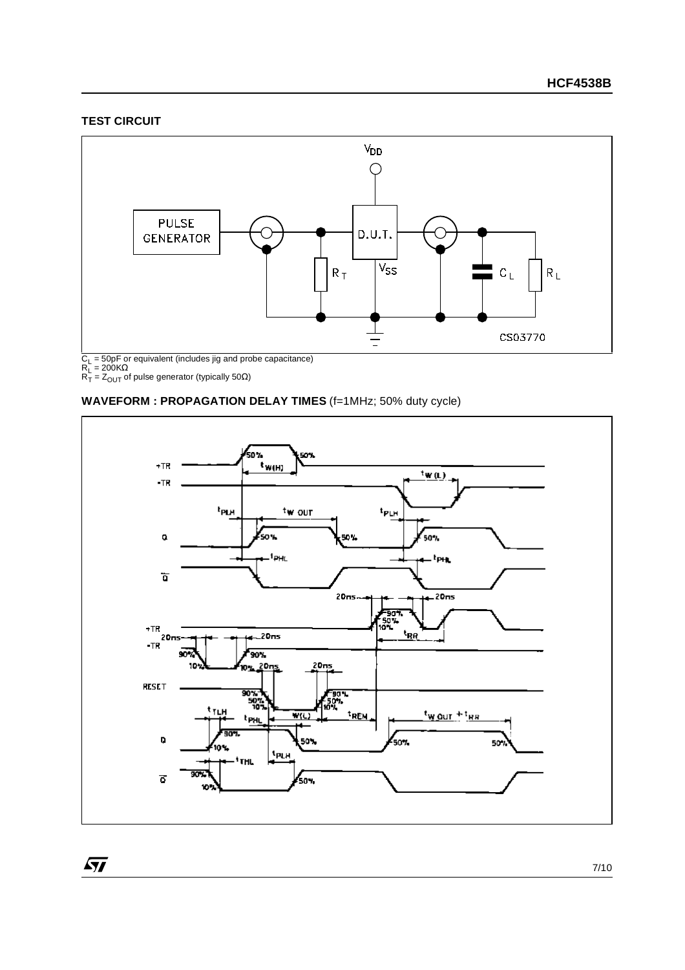#### **TEST CIRCUIT**



#### **WAVEFORM : PROPAGATION DELAY TIMES** (f=1MHz; 50% duty cycle)



 $\sqrt{27}$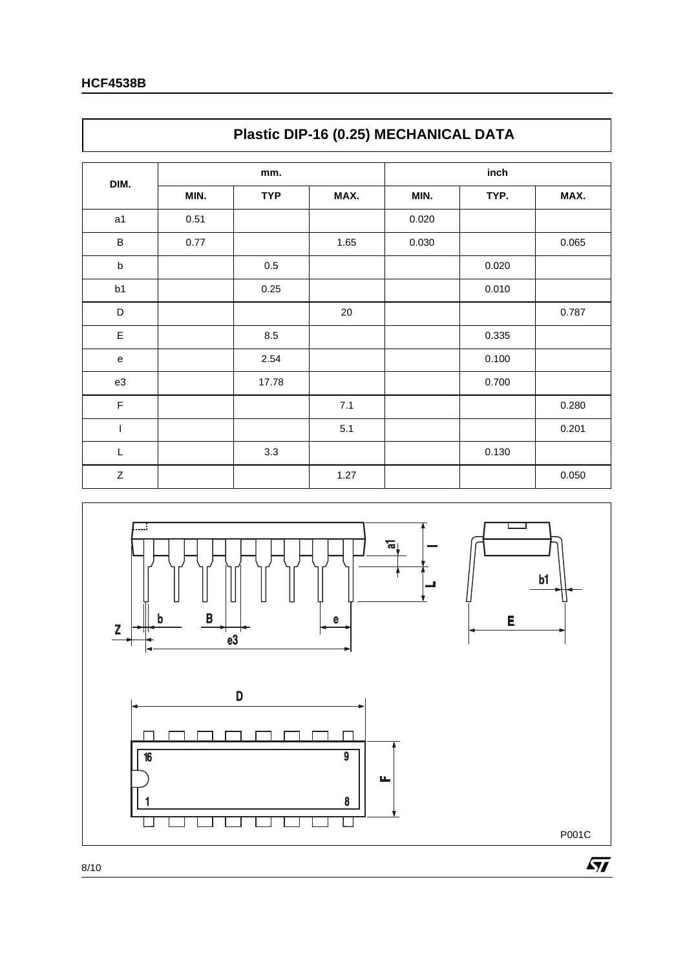|                  | Plastic DIP-16 (0.25) MECHANICAL DATA |            |      |       |       |       |  |
|------------------|---------------------------------------|------------|------|-------|-------|-------|--|
| DIM.             |                                       | mm.        |      |       |       |       |  |
|                  | MIN.                                  | <b>TYP</b> | MAX. | MIN.  | TYP.  | MAX.  |  |
| a1               | 0.51                                  |            |      | 0.020 |       |       |  |
| $\sf B$          | 0.77                                  |            | 1.65 | 0.030 |       | 0.065 |  |
| $\sf b$          |                                       | $0.5\,$    |      |       | 0.020 |       |  |
| b <sub>1</sub>   |                                       | 0.25       |      |       | 0.010 |       |  |
| D                |                                       |            | 20   |       |       | 0.787 |  |
| E                |                                       | 8.5        |      |       | 0.335 |       |  |
| ${\bf e}$        |                                       | 2.54       |      |       | 0.100 |       |  |
| e3               |                                       | 17.78      |      |       | 0.700 |       |  |
| $\mathsf F$      |                                       |            | 7.1  |       |       | 0.280 |  |
| T                |                                       |            | 5.1  |       |       | 0.201 |  |
| L                |                                       | 3.3        |      |       | 0.130 |       |  |
| $\boldsymbol{Z}$ |                                       |            | 1.27 |       |       | 0.050 |  |

٦



### $\Gamma$

8/10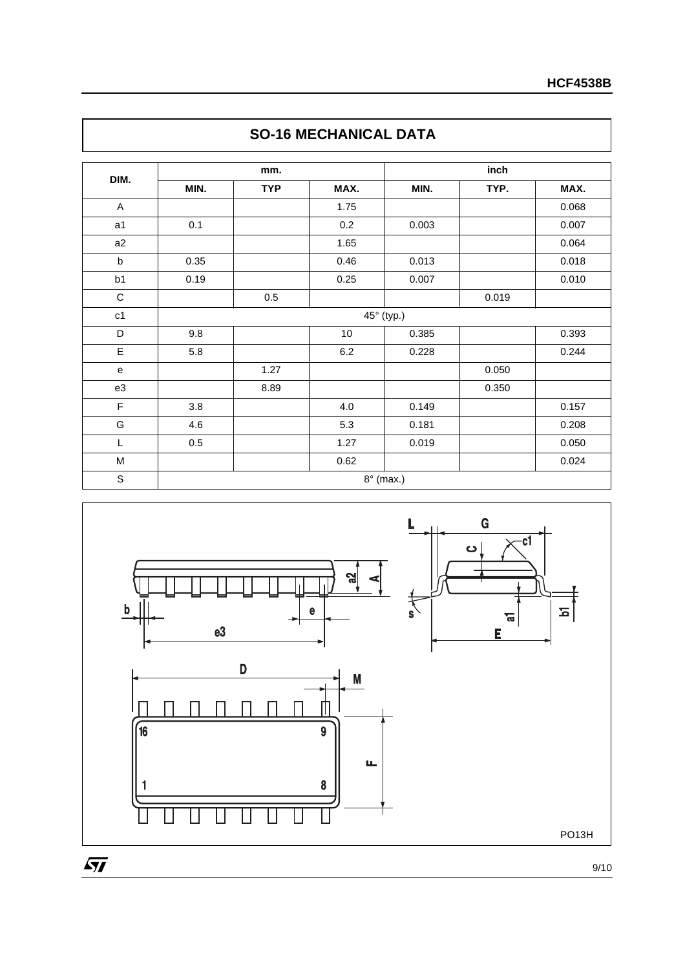| DIM.           |         | mm.        |         | inch       |       |       |  |  |  |
|----------------|---------|------------|---------|------------|-------|-------|--|--|--|
|                | MIN.    | <b>TYP</b> | MAX.    | MIN.       | TYP.  | MAX.  |  |  |  |
| A              |         |            | 1.75    |            |       | 0.068 |  |  |  |
| a1             | 0.1     |            | 0.2     | 0.003      |       | 0.007 |  |  |  |
| a2             |         |            | 1.65    |            |       | 0.064 |  |  |  |
| $\sf b$        | 0.35    |            | 0.46    | 0.013      |       | 0.018 |  |  |  |
| b <sub>1</sub> | 0.19    |            | 0.25    | 0.007      |       | 0.010 |  |  |  |
| $\mathbf C$    |         | $0.5\,$    |         |            | 0.019 |       |  |  |  |
| c1             |         |            |         | 45° (typ.) |       |       |  |  |  |
| D              | 9.8     |            | 10      | 0.385      |       | 0.393 |  |  |  |
| E              | 5.8     |            | $6.2\,$ | 0.228      |       | 0.244 |  |  |  |
| e              |         | 1.27       |         |            | 0.050 |       |  |  |  |
| e3             |         | 8.89       |         |            | 0.350 |       |  |  |  |
| F              | 3.8     |            | 4.0     | 0.149      |       | 0.157 |  |  |  |
| G              | 4.6     |            | 5.3     | 0.181      |       | 0.208 |  |  |  |
| L              | $0.5\,$ |            | 1.27    | 0.019      |       | 0.050 |  |  |  |
| M              |         |            | 0.62    |            |       | 0.024 |  |  |  |